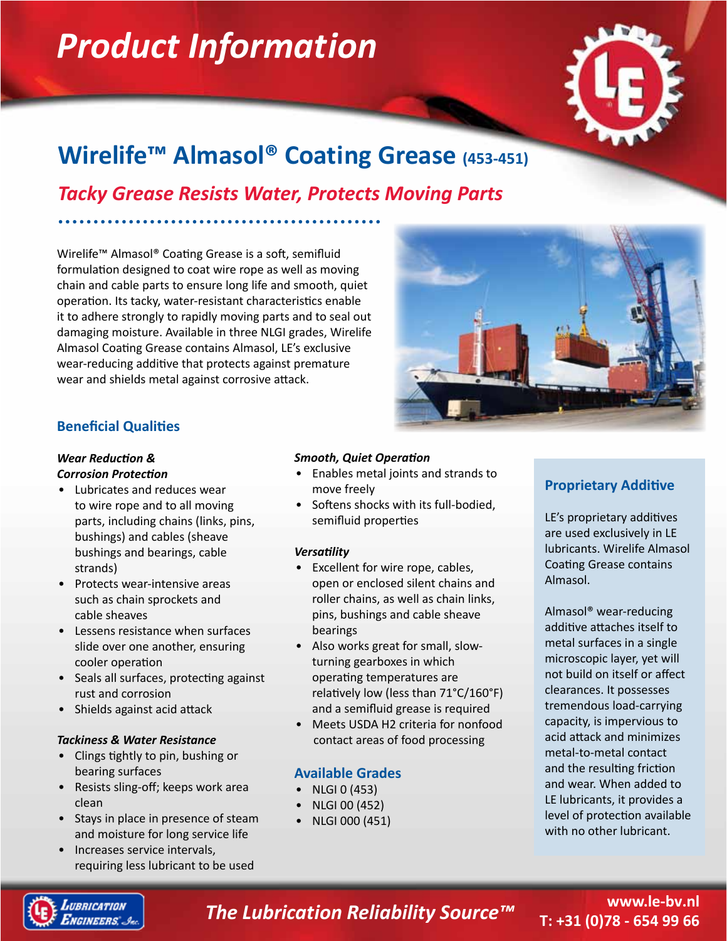# *Product Information*



# **Wirelife™ Almasol® Coating Grease (453-451)**

*Tacky Grease Resists Water, Protects Moving Parts*

Wirelife™ Almasol® Coating Grease is a soft, semifluid formulation designed to coat wire rope as well as moving chain and cable parts to ensure long life and smooth, quiet operation. Its tacky, water-resistant characteristics enable it to adhere strongly to rapidly moving parts and to seal out damaging moisture. Available in three NLGI grades, Wirelife Almasol Coating Grease contains Almasol, LE's exclusive wear-reducing additive that protects against premature wear and shields metal against corrosive attack.



## **Beneficial Qualities**

#### *Wear Reduction & Corrosion Protection*

- Lubricates and reduces wear to wire rope and to all moving parts, including chains (links, pins, bushings) and cables (sheave bushings and bearings, cable strands)
- Protects wear-intensive areas such as chain sprockets and cable sheaves
- Lessens resistance when surfaces slide over one another, ensuring cooler operation
- Seals all surfaces, protecting against rust and corrosion
- Shields against acid attack

### *Tackiness & Water Resistance*

- Clings tightly to pin, bushing or bearing surfaces
- Resists sling-off; keeps work area clean
- Stays in place in presence of steam and moisture for long service life
- Increases service intervals, requiring less lubricant to be used

### *Smooth, Quiet Operation*

- Enables metal joints and strands to move freely
- Softens shocks with its full-bodied, semifluid properties

### *Versatility*

- Excellent for wire rope, cables, open or enclosed silent chains and roller chains, as well as chain links, pins, bushings and cable sheave bearings
- Also works great for small, slowturning gearboxes in which operating temperatures are relatively low (less than 71°C/160°F) and a semifluid grease is required
- Meets USDA H2 criteria for nonfood contact areas of food processing

## **Available Grades**

- NLGI 0  $(453)$
- NLGI 00 (452)
- NLGI 000 (451)

# **Proprietary Additive**

LE's proprietary additives are used exclusively in LE lubricants. Wirelife Almasol Coating Grease contains Almasol.

Almasol® wear-reducing additive attaches itself to metal surfaces in a single microscopic layer, yet will not build on itself or affect clearances. It possesses tremendous load-carrying capacity, is impervious to acid attack and minimizes metal-to-metal contact and the resulting friction and wear. When added to LE lubricants, it provides a level of protection available with no other lubricant.



# *The Lubrication Reliability Source™*

# **www.le-bv.nl T: +31 (0)78 - 654 99 66**